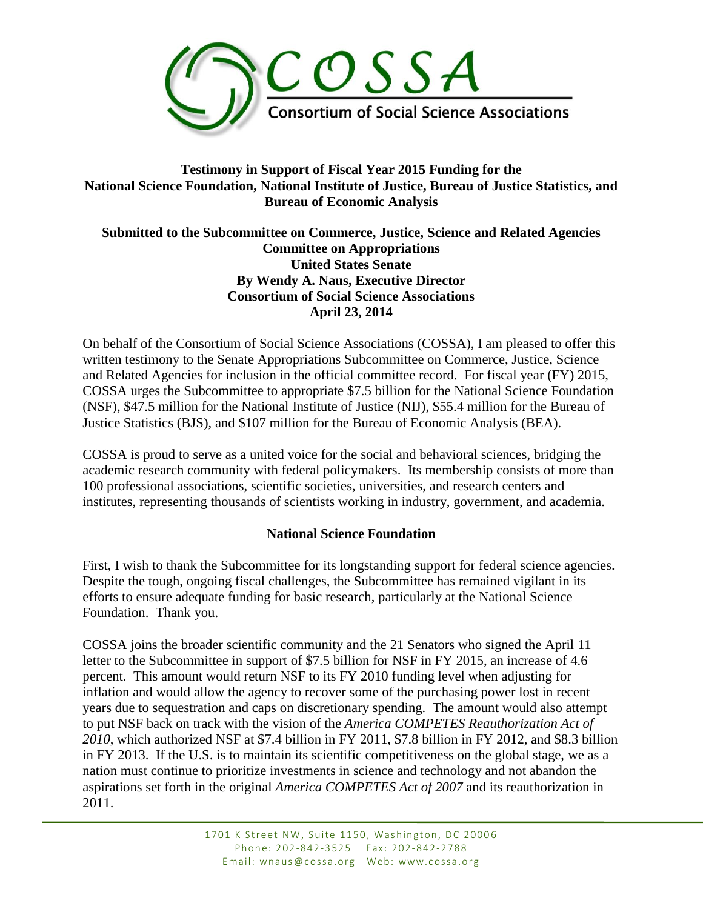

# **Testimony in Support of Fiscal Year 2015 Funding for the National Science Foundation, National Institute of Justice, Bureau of Justice Statistics, and Bureau of Economic Analysis**

#### **Submitted to the Subcommittee on Commerce, Justice, Science and Related Agencies Committee on Appropriations United States Senate By Wendy A. Naus, Executive Director Consortium of Social Science Associations April 23, 2014**

On behalf of the Consortium of Social Science Associations (COSSA), I am pleased to offer this written testimony to the Senate Appropriations Subcommittee on Commerce, Justice, Science and Related Agencies for inclusion in the official committee record. For fiscal year (FY) 2015, COSSA urges the Subcommittee to appropriate \$7.5 billion for the National Science Foundation (NSF), \$47.5 million for the National Institute of Justice (NIJ), \$55.4 million for the Bureau of Justice Statistics (BJS), and \$107 million for the Bureau of Economic Analysis (BEA).

COSSA is proud to serve as a united voice for the social and behavioral sciences, bridging the academic research community with federal policymakers. Its membership consists of more than 100 professional associations, scientific societies, universities, and research centers and institutes, representing thousands of scientists working in industry, government, and academia.

# **National Science Foundation**

First, I wish to thank the Subcommittee for its longstanding support for federal science agencies. Despite the tough, ongoing fiscal challenges, the Subcommittee has remained vigilant in its efforts to ensure adequate funding for basic research, particularly at the National Science Foundation. Thank you.

COSSA joins the broader scientific community and the 21 Senators who signed the April 11 letter to the Subcommittee in support of \$7.5 billion for NSF in FY 2015, an increase of 4.6 percent. This amount would return NSF to its FY 2010 funding level when adjusting for inflation and would allow the agency to recover some of the purchasing power lost in recent years due to sequestration and caps on discretionary spending. The amount would also attempt to put NSF back on track with the vision of the *America COMPETES Reauthorization Act of 2010*, which authorized NSF at \$7.4 billion in FY 2011, \$7.8 billion in FY 2012, and \$8.3 billion in FY 2013. If the U.S. is to maintain its scientific competitiveness on the global stage, we as a nation must continue to prioritize investments in science and technology and not abandon the aspirations set forth in the original *America COMPETES Act of 2007* and its reauthorization in 2011.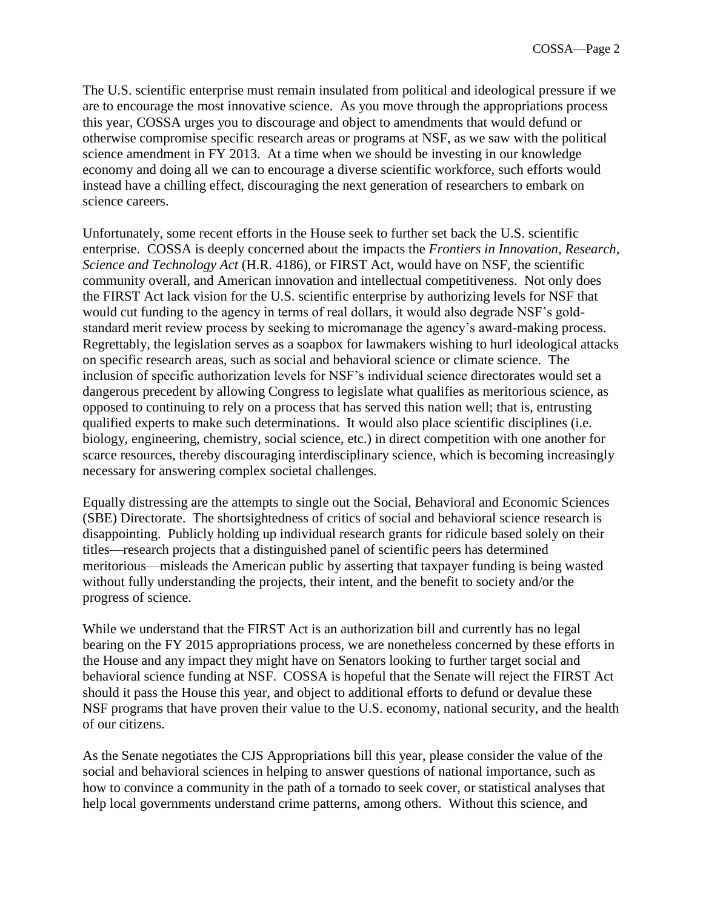The U.S. scientific enterprise must remain insulated from political and ideological pressure if we are to encourage the most innovative science. As you move through the appropriations process this year, COSSA urges you to discourage and object to amendments that would defund or otherwise compromise specific research areas or programs at NSF, as we saw with the political science amendment in FY 2013. At a time when we should be investing in our knowledge economy and doing all we can to encourage a diverse scientific workforce, such efforts would instead have a chilling effect, discouraging the next generation of researchers to embark on science careers.

Unfortunately, some recent efforts in the House seek to further set back the U.S. scientific enterprise. COSSA is deeply concerned about the impacts the *Frontiers in Innovation, Research, Science and Technology Act* (H.R. 4186), or FIRST Act, would have on NSF, the scientific community overall, and American innovation and intellectual competitiveness. Not only does the FIRST Act lack vision for the U.S. scientific enterprise by authorizing levels for NSF that would cut funding to the agency in terms of real dollars, it would also degrade NSF's goldstandard merit review process by seeking to micromanage the agency's award-making process. Regrettably, the legislation serves as a soapbox for lawmakers wishing to hurl ideological attacks on specific research areas, such as social and behavioral science or climate science. The inclusion of specific authorization levels for NSF's individual science directorates would set a dangerous precedent by allowing Congress to legislate what qualifies as meritorious science, as opposed to continuing to rely on a process that has served this nation well; that is, entrusting qualified experts to make such determinations. It would also place scientific disciplines (i.e. biology, engineering, chemistry, social science, etc.) in direct competition with one another for scarce resources, thereby discouraging interdisciplinary science, which is becoming increasingly necessary for answering complex societal challenges.

Equally distressing are the attempts to single out the Social, Behavioral and Economic Sciences (SBE) Directorate. The shortsightedness of critics of social and behavioral science research is disappointing. Publicly holding up individual research grants for ridicule based solely on their titles—research projects that a distinguished panel of scientific peers has determined meritorious—misleads the American public by asserting that taxpayer funding is being wasted without fully understanding the projects, their intent, and the benefit to society and/or the progress of science.

While we understand that the FIRST Act is an authorization bill and currently has no legal bearing on the FY 2015 appropriations process, we are nonetheless concerned by these efforts in the House and any impact they might have on Senators looking to further target social and behavioral science funding at NSF. COSSA is hopeful that the Senate will reject the FIRST Act should it pass the House this year, and object to additional efforts to defund or devalue these NSF programs that have proven their value to the U.S. economy, national security, and the health of our citizens.

As the Senate negotiates the CJS Appropriations bill this year, please consider the value of the social and behavioral sciences in helping to answer questions of national importance, such as how to convince a community in the path of a tornado to seek cover, or statistical analyses that help local governments understand crime patterns, among others. Without this science, and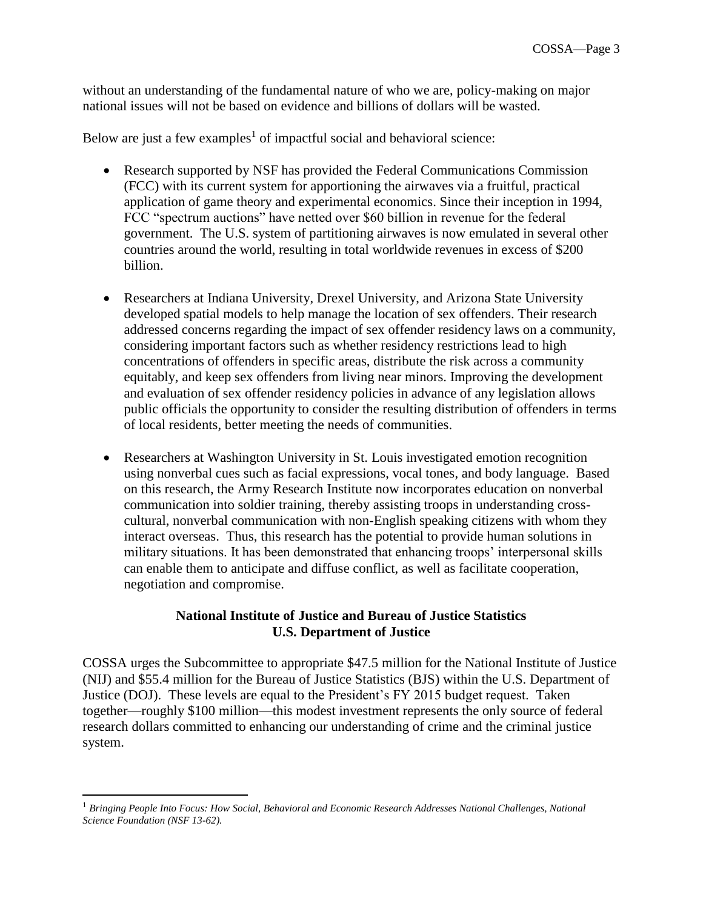without an understanding of the fundamental nature of who we are, policy-making on major national issues will not be based on evidence and billions of dollars will be wasted.

Below are just a few examples<sup>1</sup> of impactful social and behavioral science:

- Research supported by NSF has provided the Federal Communications Commission (FCC) with its current system for apportioning the airwaves via a fruitful, practical application of game theory and experimental economics. Since their inception in 1994, FCC "spectrum auctions" have netted over \$60 billion in revenue for the federal government. The U.S. system of partitioning airwaves is now emulated in several other countries around the world, resulting in total worldwide revenues in excess of \$200 billion.
- Researchers at Indiana University, Drexel University, and Arizona State University developed spatial models to help manage the location of sex offenders. Their research addressed concerns regarding the impact of sex offender residency laws on a community, considering important factors such as whether residency restrictions lead to high concentrations of offenders in specific areas, distribute the risk across a community equitably, and keep sex offenders from living near minors. Improving the development and evaluation of sex offender residency policies in advance of any legislation allows public officials the opportunity to consider the resulting distribution of offenders in terms of local residents, better meeting the needs of communities.
- Researchers at Washington University in St. Louis investigated emotion recognition using nonverbal cues such as facial expressions, vocal tones, and body language. Based on this research, the Army Research Institute now incorporates education on nonverbal communication into soldier training, thereby assisting troops in understanding crosscultural, nonverbal communication with non-English speaking citizens with whom they interact overseas. Thus, this research has the potential to provide human solutions in military situations. It has been demonstrated that enhancing troops' interpersonal skills can enable them to anticipate and diffuse conflict, as well as facilitate cooperation, negotiation and compromise.

#### **National Institute of Justice and Bureau of Justice Statistics U.S. Department of Justice**

COSSA urges the Subcommittee to appropriate \$47.5 million for the National Institute of Justice (NIJ) and \$55.4 million for the Bureau of Justice Statistics (BJS) within the U.S. Department of Justice (DOJ). These levels are equal to the President's FY 2015 budget request. Taken together—roughly \$100 million—this modest investment represents the only source of federal research dollars committed to enhancing our understanding of crime and the criminal justice system.

 $\overline{a}$ 

<sup>1</sup> *Bringing People Into Focus: How Social, Behavioral and Economic Research Addresses National Challenges, National Science Foundation (NSF 13-62).*